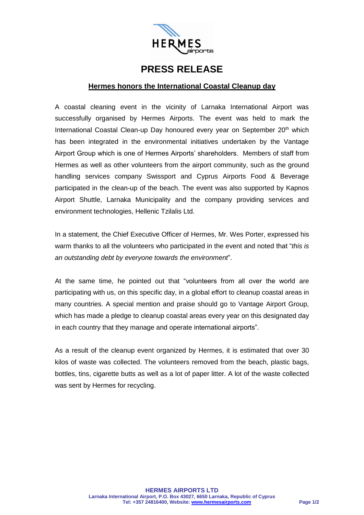

## **PRESS RELEASE**

## **Hermes honors the International Coastal Cleanup day**

A coastal cleaning event in the vicinity of Larnaka International Airport was successfully organised by Hermes Airports. The event was held to mark the International Coastal Clean-up Day honoured every year on September 20<sup>th</sup> which has been integrated in the environmental initiatives undertaken by the Vantage Airport Group which is one of Hermes Airports' shareholders. Members of staff from Hermes as well as other volunteers from the airport community, such as the ground handling services company Swissport and Cyprus Airports Food & Beverage participated in the clean-up of the beach. The event was also supported by Kapnos Airport Shuttle, Larnaka Municipality and the company providing services and environment technologies, Hellenic Tzilalis Ltd.

In a statement, the Chief Executive Officer of Hermes, Mr. Wes Porter, expressed his warm thanks to all the volunteers who participated in the event and noted that "*this is an outstanding debt by everyone towards the environment*".

At the same time, he pointed out that "volunteers from all over the world are participating with us, on this specific day, in a global effort to cleanup coastal areas in many countries. A special mention and praise should go to Vantage Airport Group, which has made a pledge to cleanup coastal areas every year on this designated day in each country that they manage and operate international airports".

As a result of the cleanup event organized by Hermes, it is estimated that over 30 kilos of waste was collected. The volunteers removed from the beach, plastic bags, bottles, tins, cigarette butts as well as a lot of paper litter. A lot of the waste collected was sent by Hermes for recycling.